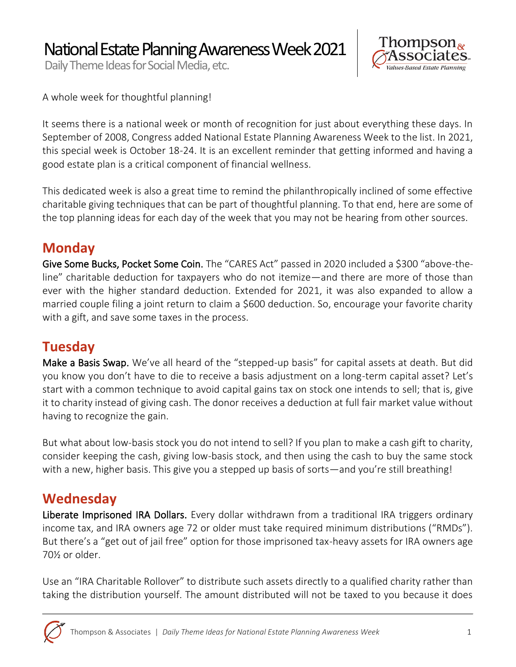National Estate Planning Awareness Week 2021

Daily Theme Ideas for Social Media, etc.



A whole week for thoughtful planning!

It seems there is a national week or month of recognition for just about everything these days. In September of 2008, Congress added National Estate Planning Awareness Week to the list. In 2021, this special week is October 18-24. It is an excellent reminder that getting informed and having a good estate plan is a critical component of financial wellness.

This dedicated week is also a great time to remind the philanthropically inclined of some effective charitable giving techniques that can be part of thoughtful planning. To that end, here are some of the top planning ideas for each day of the week that you may not be hearing from other sources.

### **Monday**

Give Some Bucks, Pocket Some Coin. The "CARES Act" passed in 2020 included a \$300 "above-theline" charitable deduction for taxpayers who do not itemize—and there are more of those than ever with the higher standard deduction. Extended for 2021, it was also expanded to allow a married couple filing a joint return to claim a \$600 deduction. So, encourage your favorite charity with a gift, and save some taxes in the process.

## **Tuesday**

Make a Basis Swap. We've all heard of the "stepped-up basis" for capital assets at death. But did you know you don't have to die to receive a basis adjustment on a long-term capital asset? Let's start with a common technique to avoid capital gains tax on stock one intends to sell; that is, give it to charity instead of giving cash. The donor receives a deduction at full fair market value without having to recognize the gain.

But what about low-basis stock you do not intend to sell? If you plan to make a cash gift to charity, consider keeping the cash, giving low-basis stock, and then using the cash to buy the same stock with a new, higher basis. This give you a stepped up basis of sorts—and you're still breathing!

#### **Wednesday**

Liberate Imprisoned IRA Dollars. Every dollar withdrawn from a traditional IRA triggers ordinary income tax, and IRA owners age 72 or older must take required minimum distributions ("RMDs"). But there's a "get out of jail free" option for those imprisoned tax-heavy assets for IRA owners age 70½ or older.

Use an "IRA Charitable Rollover" to distribute such assets directly to a qualified charity rather than taking the distribution yourself. The amount distributed will not be taxed to you because it does

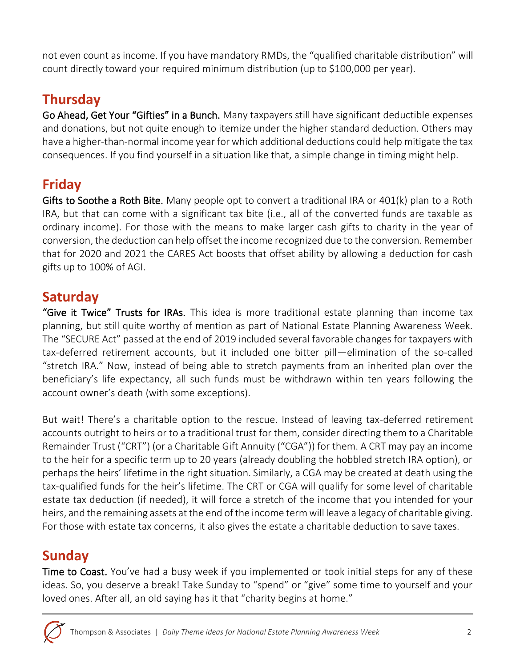not even count as income. If you have mandatory RMDs, the "qualified charitable distribution" will count directly toward your required minimum distribution (up to \$100,000 per year).

# **Thursday**

Go Ahead, Get Your "Gifties" in a Bunch. Many taxpayers still have significant deductible expenses and donations, but not quite enough to itemize under the higher standard deduction. Others may have a higher-than-normal income year for which additional deductions could help mitigate the tax consequences. If you find yourself in a situation like that, a simple change in timing might help.

# **Friday**

Gifts to Soothe a Roth Bite. Many people opt to convert a traditional IRA or 401(k) plan to a Roth IRA, but that can come with a significant tax bite (i.e., all of the converted funds are taxable as ordinary income). For those with the means to make larger cash gifts to charity in the year of conversion, the deduction can help offset the income recognized due to the conversion. Remember that for 2020 and 2021 the CARES Act boosts that offset ability by allowing a deduction for cash gifts up to 100% of AGI.

### **Saturday**

"Give it Twice" Trusts for IRAs. This idea is more traditional estate planning than income tax planning, but still quite worthy of mention as part of National Estate Planning Awareness Week. The "SECURE Act" passed at the end of 2019 included several favorable changes for taxpayers with tax-deferred retirement accounts, but it included one bitter pill—elimination of the so-called "stretch IRA." Now, instead of being able to stretch payments from an inherited plan over the beneficiary's life expectancy, all such funds must be withdrawn within ten years following the account owner's death (with some exceptions).

But wait! There's a charitable option to the rescue. Instead of leaving tax-deferred retirement accounts outright to heirs or to a traditional trust for them, consider directing them to a Charitable Remainder Trust ("CRT") (or a Charitable Gift Annuity ("CGA")) for them. A CRT may pay an income to the heir for a specific term up to 20 years (already doubling the hobbled stretch IRA option), or perhaps the heirs' lifetime in the right situation. Similarly, a CGA may be created at death using the tax-qualified funds for the heir's lifetime. The CRT or CGA will qualify for some level of charitable estate tax deduction (if needed), it will force a stretch of the income that you intended for your heirs, and the remaining assets at the end of the income term will leave a legacy of charitable giving. For those with estate tax concerns, it also gives the estate a charitable deduction to save taxes.

## **Sunday**

**Time to Coast.** You've had a busy week if you implemented or took initial steps for any of these ideas. So, you deserve a break! Take Sunday to "spend" or "give" some time to yourself and your loved ones. After all, an old saying has it that "charity begins at home."